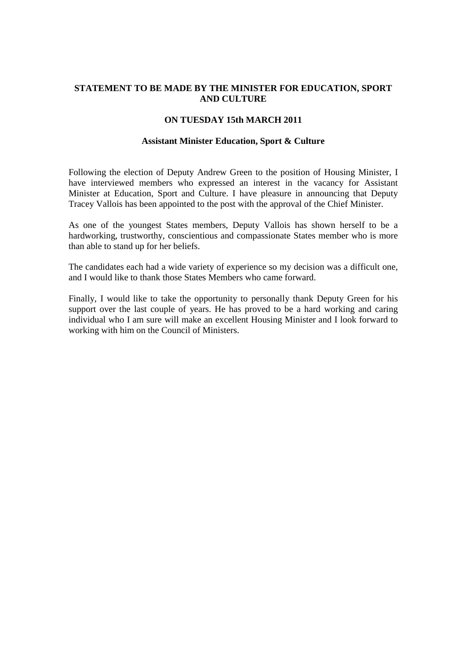# **STATEMENT TO BE MADE BY THE MINISTER FOR EDUCATION, SPORT AND CULTURE**

### **ON TUESDAY 15th MARCH 2011**

#### **Assistant Minister Education, Sport & Culture**

Following the election of Deputy Andrew Green to the position of Housing Minister, I have interviewed members who expressed an interest in the vacancy for Assistant Minister at Education, Sport and Culture. I have pleasure in announcing that Deputy Tracey Vallois has been appointed to the post with the approval of the Chief Minister.

As one of the youngest States members, Deputy Vallois has shown herself to be a hardworking, trustworthy, conscientious and compassionate States member who is more than able to stand up for her beliefs.

The candidates each had a wide variety of experience so my decision was a difficult one, and I would like to thank those States Members who came forward.

Finally, I would like to take the opportunity to personally thank Deputy Green for his support over the last couple of years. He has proved to be a hard working and caring individual who I am sure will make an excellent Housing Minister and I look forward to working with him on the Council of Ministers.